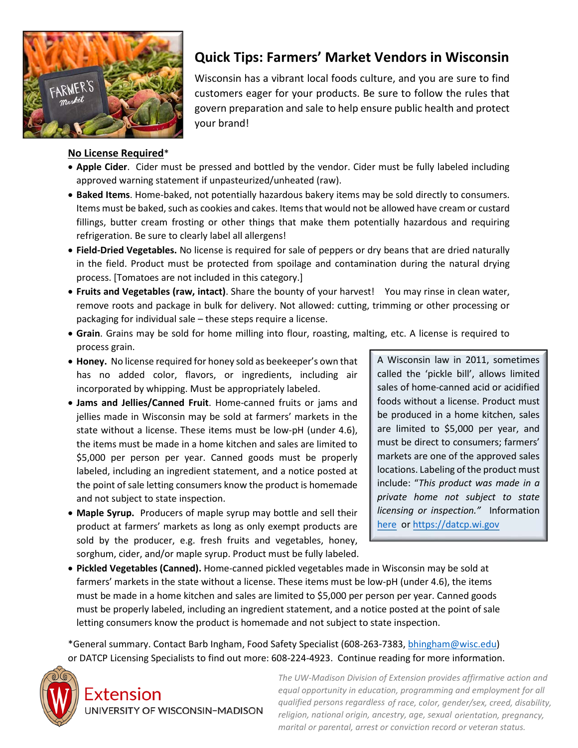

## **No License Required**\*

## **Quick Tips: Farmers' Market Vendors in Wisconsin**

Wisconsin has a vibrant local foods culture, and you are sure to find customers eager for your products. Be sure to follow the rules that govern preparation and sale to help ensure public health and protect your brand!

- **Apple Cider**. Cider must be pressed and bottled by the vendor. Cider must be fully labeled including approved warning statement if unpasteurized/unheated (raw).
- **Baked Items**. Home-baked, not potentially hazardous bakery items may be sold directly to consumers. Items must be baked, such as cookies and cakes. Items that would not be allowed have cream or custard fillings, butter cream frosting or other things that make them potentially hazardous and requiring refrigeration. Be sure to clearly label all allergens!
- **Field-Dried Vegetables.** No license is required for sale of peppers or dry beans that are dried naturally in the field. Product must be protected from spoilage and contamination during the natural drying process. [Tomatoes are not included in this category.]
- **Fruits and Vegetables (raw, intact)**. Share the bounty of your harvest! You may rinse in clean water, remove roots and package in bulk for delivery. Not allowed: cutting, trimming or other processing or packaging for individual sale – these steps require a license.
- **Grain**. Grains may be sold for home milling into flour, roasting, malting, etc. A license is required to process grain.
- **Honey.** No license required for honey sold as beekeeper's own that has no added color, flavors, or ingredients, including air incorporated by whipping. Must be appropriately labeled.
- **Jams and Jellies/Canned Fruit**. Home-canned fruits or jams and jellies made in Wisconsin may be sold at farmers' markets in the state without a license. These items must be low-pH (under 4.6), the items must be made in a home kitchen and sales are limited to \$5,000 per person per year. Canned goods must be properly labeled, including an ingredient statement, and a notice posted at the point of sale letting consumers know the product is homemade and not subject to state inspection.
- **Maple Syrup.** Producers of maple syrup may bottle and sell their product at farmers' markets as long as only exempt products are sold by the producer, e.g. fresh fruits and vegetables, honey, sorghum, cider, and/or maple syrup. Product must be fully labeled.

A Wisconsin law in 2011, sometimes called the 'pickle bill', allows limited sales of home-canned acid or acidified foods without a license. Product must be produced in a home kitchen, sales are limited to \$5,000 per year, and must be direct to consumers; farmers' markets are one of the approved sales locations. Labeling of the product must include: "*This product was made in a private home not subject to state licensing or inspection."* Information [here](https://datcp.wi.gov/Pages/Programs_Services/FSHomeCannedFoods.aspx) o[r https://datcp.wi.gov](https://datcp.wi.gov/)

• **Pickled Vegetables (Canned).** Home-canned pickled vegetables made in Wisconsin may be sold at farmers' markets in the state without a license. These items must be low-pH (under 4.6), the items must be made in a home kitchen and sales are limited to \$5,000 per person per year. Canned goods must be properly labeled, including an ingredient statement, and a notice posted at the point of sale letting consumers know the product is homemade and not subject to state inspection.

\*General summary. Contact Barb Ingham, Food Safety Specialist (608-263-7383, [bhingham@wisc.edu\)](mailto:bhingham@wisc.edu) or DATCP Licensing Specialists to find out more: 608-224-4923. Continue reading for more information.



Extension UNIVERSITY OF WISCONSIN-MADISON *The UW-Madison Division of Extension provides affirmative action and equal opportunity in education, programming and employment for all qualified persons regardless of race, color, gender/sex, creed, disability, religion, national origin, ancestry, age, sexual orientation, pregnancy, marital or parental, arrest or conviction record or veteran status.*